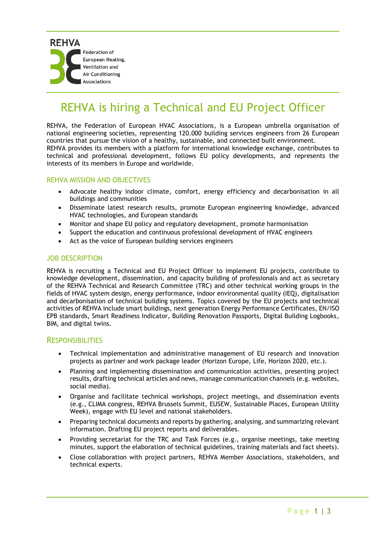# REHVA is hiring a Technical and EU Project Officer

REHVA, the Federation of European HVAC Associations, is a European umbrella organisation of national engineering societies, representing 120.000 building services engineers from 26 European countries that pursue the vision of a healthy, sustainable, and connected built environment. REHVA provides its members with a platform for international knowledge exchange, contributes to technical and professional development, follows EU policy developments, and represents the interests of its members in Europe and worldwide.

# REHVA MISSION AND OBJECTIVES

- Advocate healthy indoor climate, comfort, energy efficiency and decarbonisation in all buildings and communities
- Disseminate latest research results, promote European engineering knowledge, advanced HVAC technologies, and European standards
- Monitor and shape EU policy and regulatory development, promote harmonisation
- Support the education and continuous professional development of HVAC engineers
- Act as the voice of European building services engineers

## JOB DESCRIPTION

REHVA is recruiting a Technical and EU Project Officer to implement EU projects, contribute to knowledge development, dissemination, and capacity building of professionals and act as secretary of the REHVA Technical and Research Committee (TRC) and other technical working groups in the fields of HVAC system design, energy performance, indoor environmental quality (IEQ), digitalisation and decarbonisation of technical building systems. Topics covered by the EU projects and technical activities of REHVA include smart buildings, next generation Energy Performance Certificates, EN/ISO EPB standards, Smart Readiness Indicator, Building Renovation Passports, Digital Building Logbooks, BIM, and digital twins.

# RESPONSIBILITIES

- Technical implementation and administrative management of EU research and innovation projects as partner and work package leader (Horizon Europe, Life, Horizon 2020, etc.).
- Planning and implementing dissemination and communication activities, presenting project results, drafting technical articles and news, manage communication channels (e.g. websites, social media).
- Organise and facilitate technical workshops, project meetings, and dissemination events (e.g., CLIMA congress, REHVA Brussels Summit, EUSEW, Sustainable Places, European Utility Week), engage with EU level and national stakeholders.
- Preparing technical documents and reports by gathering, analysing, and summarizing relevant information. Drafting EU project reports and deliverables.
- Providing secretariat for the TRC and Task Forces (e.g., organise meetings, take meeting minutes, support the elaboration of technical guidelines, training materials and fact sheets).
- Close collaboration with project partners, REHVA Member Associations, stakeholders, and technical experts.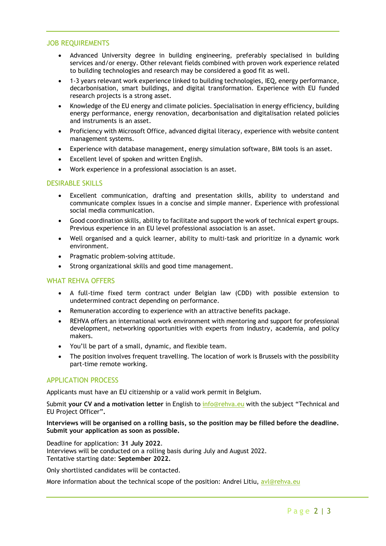## JOB REQUIREMENTS

- Advanced University degree in building engineering, preferably specialised in building services and/or energy. Other relevant fields combined with proven work experience related to building technologies and research may be considered a good fit as well.
- 1-3 years relevant work experience linked to building technologies, IEQ, energy performance, decarbonisation, smart buildings, and digital transformation. Experience with EU funded research projects is a strong asset.
- Knowledge of the EU energy and climate policies. Specialisation in energy efficiency, building energy performance, energy renovation, decarbonisation and digitalisation related policies and instruments is an asset.
- Proficiency with Microsoft Office, advanced digital literacy, experience with website content management systems.
- Experience with database management, energy simulation software, BIM tools is an asset.
- Excellent level of spoken and written English.
- Work experience in a professional association is an asset.

## DESIRABLE SKILLS

- Excellent communication, drafting and presentation skills, ability to understand and communicate complex issues in a concise and simple manner. Experience with professional social media communication.
- Good coordination skills, ability to facilitate and support the work of technical expert groups. Previous experience in an EU level professional association is an asset.
- Well organised and a quick learner, ability to multi-task and prioritize in a dynamic work environment.
- Pragmatic problem-solving attitude.
- Strong organizational skills and good time management.

# WHAT REHVA OFFERS

- A full-time fixed term contract under Belgian law (CDD) with possible extension to undetermined contract depending on performance.
- Remuneration according to experience with an attractive benefits package.
- REHVA offers an international work environment with mentoring and support for professional development, networking opportunities with experts from industry, academia, and policy makers.
- You'll be part of a small, dynamic, and flexible team.
- The position involves frequent travelling. The location of work is Brussels with the possibility part-time remote working.

# APPLICATION PROCESS

Applicants must have an EU citizenship or a valid work permit in Belgium.

Submit **your CV and a motivation letter** in English to [info@rehva.eu](mailto:info@rehva.eu) with the subject "Technical and EU Project Officer"**.**

## **Interviews will be organised on a rolling basis, so the position may be filled before the deadline. Submit your application as soon as possible.**

Deadline for application: **31 July 2022**. Interviews will be conducted on a rolling basis during July and August 2022. Tentative starting date: **September 2022.**

Only shortlisted candidates will be contacted.

More information about the technical scope of the position: Andrei Litiu, [avl@rehva.eu](mailto:avl@rehva.eu)